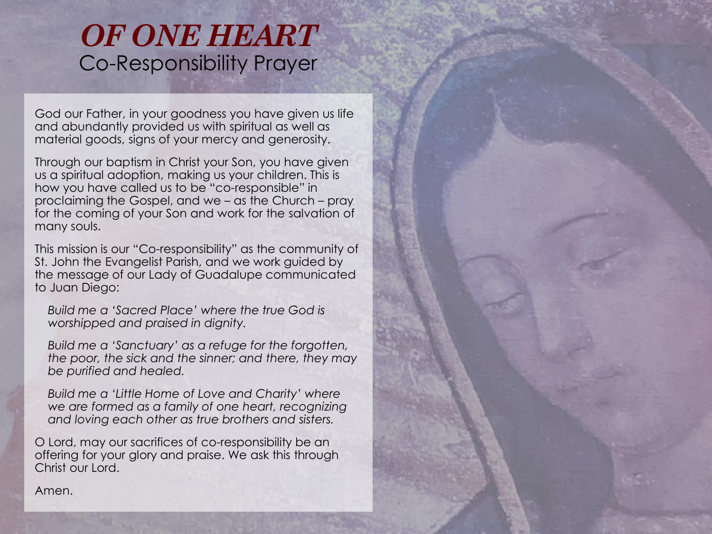## *OF ONE HEART*  Co-Responsibility Prayer

God our Father, in your goodness you have given us life and abundantly provided us with spiritual as well as material goods, signs of your mercy and generosity.

Through our baptism in Christ your Son, you have given us a spiritual adoption, making us your children. This is how you have called us to be "co-responsible" in proclaiming the Gospel, and we – as the Church – pray for the coming of your Son and work for the salvation of many souls.

This mission is our "Co-responsibility" as the community of St. John the Evangelist Parish, and we work guided by the message of our Lady of Guadalupe communicated to Juan Diego:

*Build me a 'Sacred Place' where the true God is worshipped and praised in dignity.* 

*Build me a 'Sanctuary' as a refuge for the forgotten, the poor, the sick and the sinner; and there, they may be purified and healed.*

*Build me a 'Little Home of Love and Charity' where we are formed as a family of one heart, recognizing and loving each other as true brothers and sisters.*

O Lord, may our sacrifices of co-responsibility be an offering for your glory and praise. We ask this through Christ our Lord.

Amen.